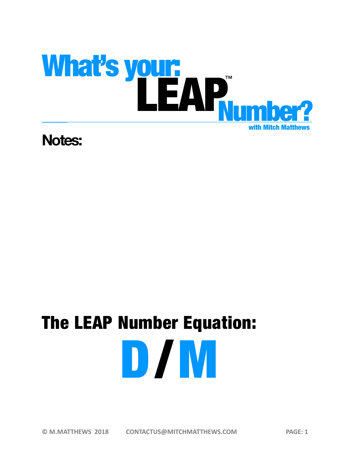

### **Notes:**

# The LEAP Number Equation: D / M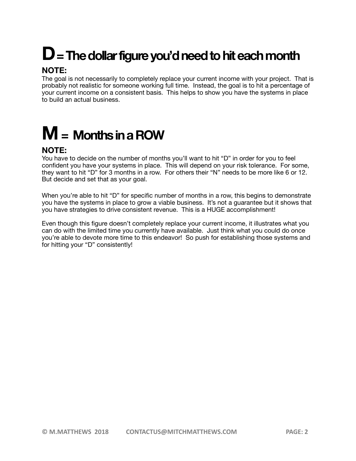# **D = The dollar figure you'd need to hit each month**

#### **NOTE:**

The goal is not necessarily to completely replace your current income with your project. That is probably not realistic for someone working full time. Instead, the goal is to hit a percentage of your current income on a consistent basis. This helps to show you have the systems in place to build an actual business.

# **M = Months in a ROW**

#### **NOTE:**

You have to decide on the number of months you'll want to hit "D" in order for you to feel confident you have your systems in place. This will depend on your risk tolerance. For some, they want to hit "D" for 3 months in a row. For others their "N" needs to be more like 6 or 12. But decide and set that as your goal.

When you're able to hit "D" for specific number of months in a row, this begins to demonstrate you have the systems in place to grow a viable business. It's not a guarantee but it shows that you have strategies to drive consistent revenue. This is a HUGE accomplishment!

Even though this figure doesn't completely replace your current income, it illustrates what you can do with the limited time you currently have available. Just think what you could do once you're able to devote more time to this endeavor! So push for establishing those systems and for hitting your "D" consistently!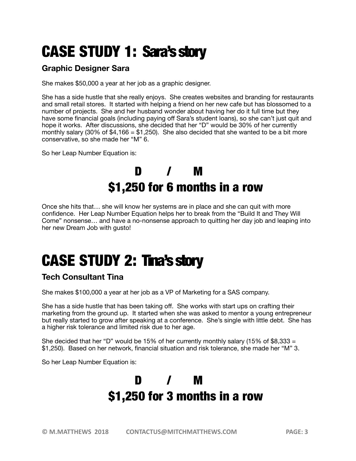# CASE STUDY 1: Sara's story

#### **Graphic Designer Sara**

She makes \$50,000 a year at her job as a graphic designer.

She has a side hustle that she really enjoys. She creates websites and branding for restaurants and small retail stores. It started with helping a friend on her new cafe but has blossomed to a number of projects. She and her husband wonder about having her do it full time but they have some financial goals (including paying off Sara's student loans), so she can't just quit and hope it works. After discussions, she decided that her "D" would be 30% of her currently monthly salary (30% of  $$4,166 = $1,250$ ). She also decided that she wanted to be a bit more conservative, so she made her "M" 6.

So her Leap Number Equation is:

### D / M \$1,250 for 6 months in a row

Once she hits that… she will know her systems are in place and she can quit with more confidence. Her Leap Number Equation helps her to break from the "Build It and They Will Come" nonsense… and have a no-nonsense approach to quitting her day job and leaping into her new Dream Job with gusto!

## CASE STUDY 2: Tina's story

#### **Tech Consultant Tina**

She makes \$100,000 a year at her job as a VP of Marketing for a SAS company.

She has a side hustle that has been taking off. She works with start ups on crafting their marketing from the ground up. It started when she was asked to mentor a young entrepreneur but really started to grow after speaking at a conference. She's single with little debt. She has a higher risk tolerance and limited risk due to her age.

She decided that her "D" would be 15% of her currently monthly salary (15% of \$8,333  $=$ \$1,250). Based on her network, financial situation and risk tolerance, she made her "M" 3.

So her Leap Number Equation is:

### D / M \$1,250 for 3 months in a row